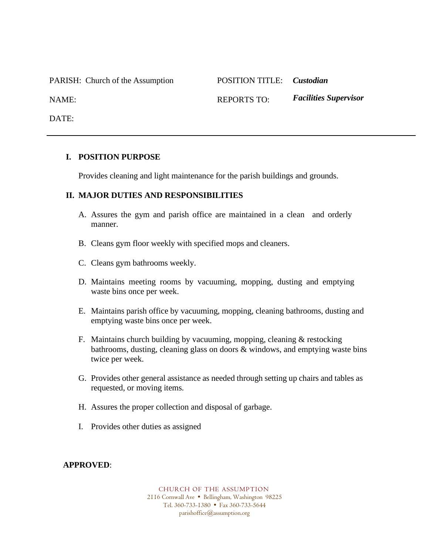PARISH: Church of the Assumption POSITION TITLE: *Custodian*

NAME: REPORTS TO: *Facilities Supervisor*

DATE:

## **I. POSITION PURPOSE**

Provides cleaning and light maintenance for the parish buildings and grounds.

## **II. MAJOR DUTIES AND RESPONSIBILITIES**

- A. Assures the gym and parish office are maintained in a clean and orderly manner.
- B. Cleans gym floor weekly with specified mops and cleaners.
- C. Cleans gym bathrooms weekly.
- D. Maintains meeting rooms by vacuuming, mopping, dusting and emptying waste bins once per week.
- E. Maintains parish office by vacuuming, mopping, cleaning bathrooms, dusting and emptying waste bins once per week.
- F. Maintains church building by vacuuming, mopping, cleaning & restocking bathrooms, dusting, cleaning glass on doors & windows, and emptying waste bins twice per week.
- G. Provides other general assistance as needed through setting up chairs and tables as requested, or moving items.
- H. Assures the proper collection and disposal of garbage.
- I. Provides other duties as assigned

## **APPROVED**:

CHURCH OF THE ASSUMPTION 2116 Cornwall Ave · Bellingham, Washington 98225 Tel. 360-733-1380 Fax 360-733-5644 parishoffice@assumption.org